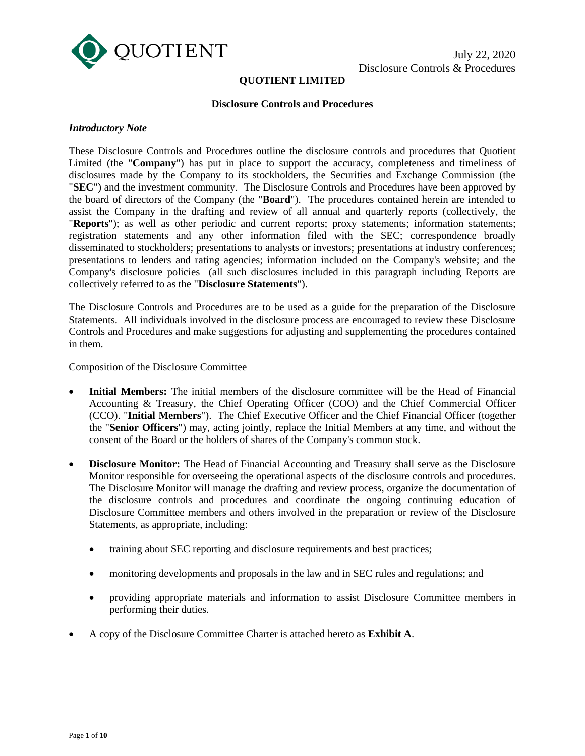

# **QUOTIENT LIMITED**

#### **Disclosure Controls and Procedures**

#### *Introductory Note*

These Disclosure Controls and Procedures outline the disclosure controls and procedures that Quotient Limited (the "**Company**") has put in place to support the accuracy, completeness and timeliness of disclosures made by the Company to its stockholders, the Securities and Exchange Commission (the "**SEC**") and the investment community. The Disclosure Controls and Procedures have been approved by the board of directors of the Company (the "**Board**"). The procedures contained herein are intended to assist the Company in the drafting and review of all annual and quarterly reports (collectively, the "**Reports**"); as well as other periodic and current reports; proxy statements; information statements; registration statements and any other information filed with the SEC; correspondence broadly disseminated to stockholders; presentations to analysts or investors; presentations at industry conferences; presentations to lenders and rating agencies; information included on the Company's website; and the Company's disclosure policies (all such disclosures included in this paragraph including Reports are collectively referred to as the "**Disclosure Statements**").

The Disclosure Controls and Procedures are to be used as a guide for the preparation of the Disclosure Statements. All individuals involved in the disclosure process are encouraged to review these Disclosure Controls and Procedures and make suggestions for adjusting and supplementing the procedures contained in them.

## Composition of the Disclosure Committee

- **Initial Members:** The initial members of the disclosure committee will be the Head of Financial Accounting & Treasury, the Chief Operating Officer (COO) and the Chief Commercial Officer (CCO). "**Initial Members**"). The Chief Executive Officer and the Chief Financial Officer (together the "**Senior Officers**") may, acting jointly, replace the Initial Members at any time, and without the consent of the Board or the holders of shares of the Company's common stock.
- **Disclosure Monitor:** The Head of Financial Accounting and Treasury shall serve as the Disclosure Monitor responsible for overseeing the operational aspects of the disclosure controls and procedures. The Disclosure Monitor will manage the drafting and review process, organize the documentation of the disclosure controls and procedures and coordinate the ongoing continuing education of Disclosure Committee members and others involved in the preparation or review of the Disclosure Statements, as appropriate, including:
	- training about SEC reporting and disclosure requirements and best practices;
	- monitoring developments and proposals in the law and in SEC rules and regulations; and
	- providing appropriate materials and information to assist Disclosure Committee members in performing their duties.
- A copy of the Disclosure Committee Charter is attached hereto as **Exhibit A**.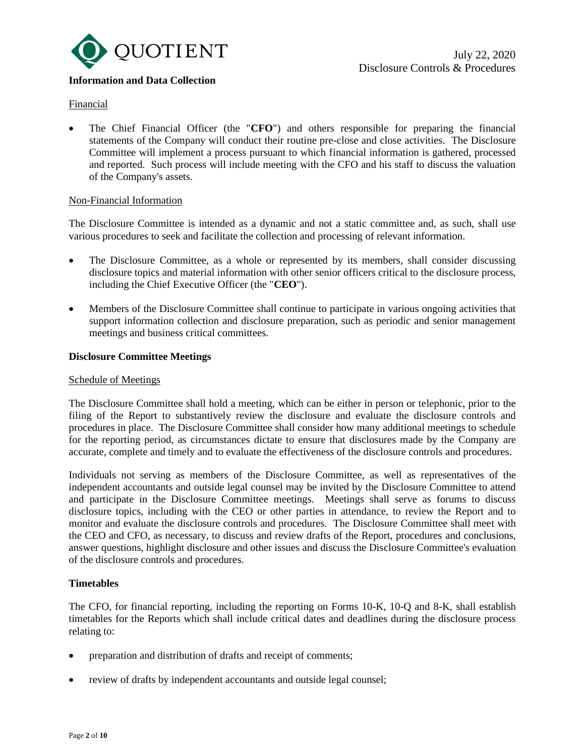

# **Information and Data Collection**

# Financial

• The Chief Financial Officer (the "**CFO**") and others responsible for preparing the financial statements of the Company will conduct their routine pre-close and close activities. The Disclosure Committee will implement a process pursuant to which financial information is gathered, processed and reported. Such process will include meeting with the CFO and his staff to discuss the valuation of the Company's assets.

### Non-Financial Information

The Disclosure Committee is intended as a dynamic and not a static committee and, as such, shall use various procedures to seek and facilitate the collection and processing of relevant information.

- The Disclosure Committee, as a whole or represented by its members, shall consider discussing disclosure topics and material information with other senior officers critical to the disclosure process, including the Chief Executive Officer (the "**CEO**").
- Members of the Disclosure Committee shall continue to participate in various ongoing activities that support information collection and disclosure preparation, such as periodic and senior management meetings and business critical committees.

# **Disclosure Committee Meetings**

## Schedule of Meetings

The Disclosure Committee shall hold a meeting, which can be either in person or telephonic, prior to the filing of the Report to substantively review the disclosure and evaluate the disclosure controls and procedures in place. The Disclosure Committee shall consider how many additional meetings to schedule for the reporting period, as circumstances dictate to ensure that disclosures made by the Company are accurate, complete and timely and to evaluate the effectiveness of the disclosure controls and procedures.

Individuals not serving as members of the Disclosure Committee, as well as representatives of the independent accountants and outside legal counsel may be invited by the Disclosure Committee to attend and participate in the Disclosure Committee meetings. Meetings shall serve as forums to discuss disclosure topics, including with the CEO or other parties in attendance, to review the Report and to monitor and evaluate the disclosure controls and procedures. The Disclosure Committee shall meet with the CEO and CFO, as necessary, to discuss and review drafts of the Report, procedures and conclusions, answer questions, highlight disclosure and other issues and discuss the Disclosure Committee's evaluation of the disclosure controls and procedures.

# **Timetables**

The CFO, for financial reporting, including the reporting on Forms 10-K, 10-Q and 8-K, shall establish timetables for the Reports which shall include critical dates and deadlines during the disclosure process relating to:

- preparation and distribution of drafts and receipt of comments;
- review of drafts by independent accountants and outside legal counsel;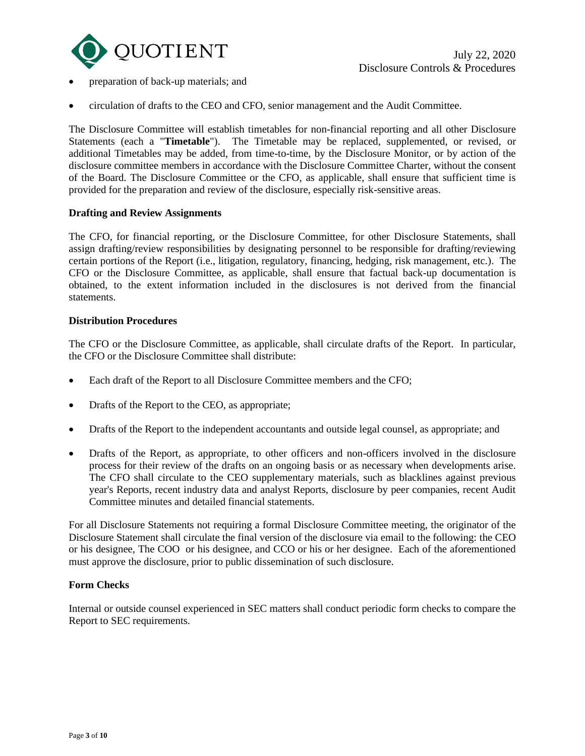

- preparation of back-up materials; and
- circulation of drafts to the CEO and CFO, senior management and the Audit Committee.

The Disclosure Committee will establish timetables for non-financial reporting and all other Disclosure Statements (each a "**Timetable**"). The Timetable may be replaced, supplemented, or revised, or additional Timetables may be added, from time-to-time, by the Disclosure Monitor, or by action of the disclosure committee members in accordance with the Disclosure Committee Charter, without the consent of the Board. The Disclosure Committee or the CFO, as applicable, shall ensure that sufficient time is provided for the preparation and review of the disclosure, especially risk-sensitive areas.

# **Drafting and Review Assignments**

The CFO, for financial reporting, or the Disclosure Committee, for other Disclosure Statements, shall assign drafting/review responsibilities by designating personnel to be responsible for drafting/reviewing certain portions of the Report (i.e., litigation, regulatory, financing, hedging, risk management, etc.). The CFO or the Disclosure Committee, as applicable, shall ensure that factual back-up documentation is obtained, to the extent information included in the disclosures is not derived from the financial statements.

# **Distribution Procedures**

The CFO or the Disclosure Committee, as applicable, shall circulate drafts of the Report. In particular, the CFO or the Disclosure Committee shall distribute:

- Each draft of the Report to all Disclosure Committee members and the CFO;
- Drafts of the Report to the CEO, as appropriate;
- Drafts of the Report to the independent accountants and outside legal counsel, as appropriate; and
- Drafts of the Report, as appropriate, to other officers and non-officers involved in the disclosure process for their review of the drafts on an ongoing basis or as necessary when developments arise. The CFO shall circulate to the CEO supplementary materials, such as blacklines against previous year's Reports, recent industry data and analyst Reports, disclosure by peer companies, recent Audit Committee minutes and detailed financial statements.

For all Disclosure Statements not requiring a formal Disclosure Committee meeting, the originator of the Disclosure Statement shall circulate the final version of the disclosure via email to the following: the CEO or his designee, The COO or his designee, and CCO or his or her designee. Each of the aforementioned must approve the disclosure, prior to public dissemination of such disclosure.

### **Form Checks**

Internal or outside counsel experienced in SEC matters shall conduct periodic form checks to compare the Report to SEC requirements.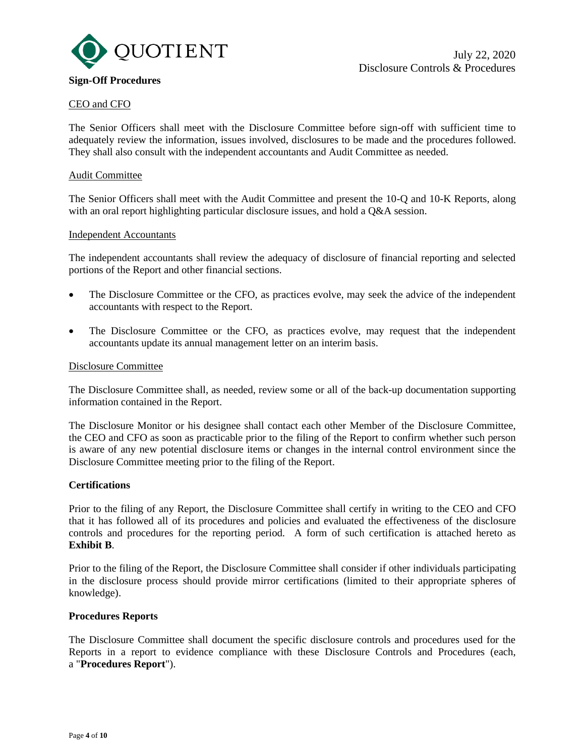

# CEO and CFO

The Senior Officers shall meet with the Disclosure Committee before sign-off with sufficient time to adequately review the information, issues involved, disclosures to be made and the procedures followed. They shall also consult with the independent accountants and Audit Committee as needed.

## Audit Committee

The Senior Officers shall meet with the Audit Committee and present the 10-Q and 10-K Reports, along with an oral report highlighting particular disclosure issues, and hold a  $Q&A$  session.

### Independent Accountants

The independent accountants shall review the adequacy of disclosure of financial reporting and selected portions of the Report and other financial sections.

- The Disclosure Committee or the CFO, as practices evolve, may seek the advice of the independent accountants with respect to the Report.
- The Disclosure Committee or the CFO, as practices evolve, may request that the independent accountants update its annual management letter on an interim basis.

#### Disclosure Committee

The Disclosure Committee shall, as needed, review some or all of the back-up documentation supporting information contained in the Report.

The Disclosure Monitor or his designee shall contact each other Member of the Disclosure Committee, the CEO and CFO as soon as practicable prior to the filing of the Report to confirm whether such person is aware of any new potential disclosure items or changes in the internal control environment since the Disclosure Committee meeting prior to the filing of the Report.

## **Certifications**

Prior to the filing of any Report, the Disclosure Committee shall certify in writing to the CEO and CFO that it has followed all of its procedures and policies and evaluated the effectiveness of the disclosure controls and procedures for the reporting period. A form of such certification is attached hereto as **Exhibit B**.

Prior to the filing of the Report, the Disclosure Committee shall consider if other individuals participating in the disclosure process should provide mirror certifications (limited to their appropriate spheres of knowledge).

### **Procedures Reports**

The Disclosure Committee shall document the specific disclosure controls and procedures used for the Reports in a report to evidence compliance with these Disclosure Controls and Procedures (each, a "**Procedures Report**").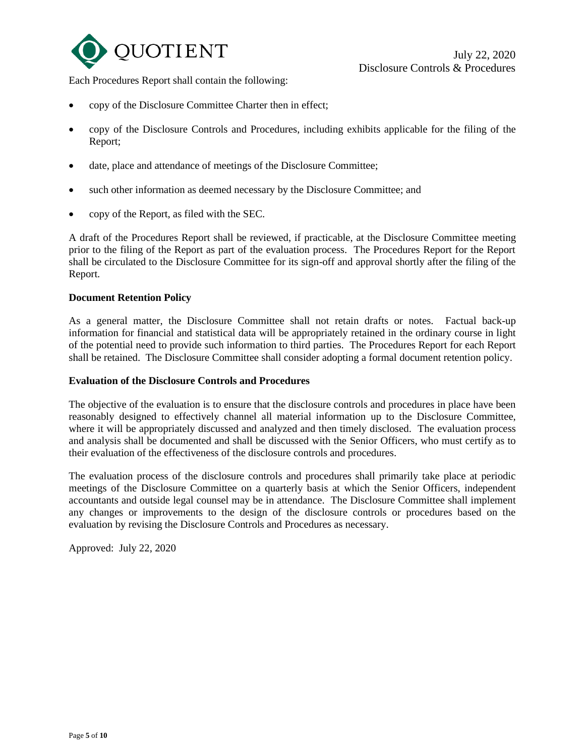

Each Procedures Report shall contain the following:

- copy of the Disclosure Committee Charter then in effect;
- copy of the Disclosure Controls and Procedures, including exhibits applicable for the filing of the Report;
- date, place and attendance of meetings of the Disclosure Committee;
- such other information as deemed necessary by the Disclosure Committee; and
- copy of the Report, as filed with the SEC.

A draft of the Procedures Report shall be reviewed, if practicable, at the Disclosure Committee meeting prior to the filing of the Report as part of the evaluation process. The Procedures Report for the Report shall be circulated to the Disclosure Committee for its sign-off and approval shortly after the filing of the Report.

### **Document Retention Policy**

As a general matter, the Disclosure Committee shall not retain drafts or notes. Factual back-up information for financial and statistical data will be appropriately retained in the ordinary course in light of the potential need to provide such information to third parties. The Procedures Report for each Report shall be retained. The Disclosure Committee shall consider adopting a formal document retention policy.

### **Evaluation of the Disclosure Controls and Procedures**

The objective of the evaluation is to ensure that the disclosure controls and procedures in place have been reasonably designed to effectively channel all material information up to the Disclosure Committee, where it will be appropriately discussed and analyzed and then timely disclosed. The evaluation process and analysis shall be documented and shall be discussed with the Senior Officers, who must certify as to their evaluation of the effectiveness of the disclosure controls and procedures.

The evaluation process of the disclosure controls and procedures shall primarily take place at periodic meetings of the Disclosure Committee on a quarterly basis at which the Senior Officers, independent accountants and outside legal counsel may be in attendance. The Disclosure Committee shall implement any changes or improvements to the design of the disclosure controls or procedures based on the evaluation by revising the Disclosure Controls and Procedures as necessary.

Approved: July 22, 2020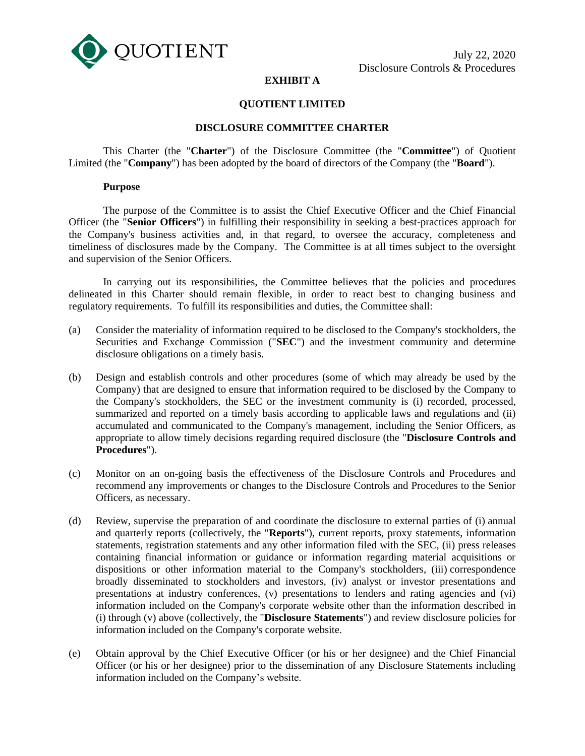

# **EXHIBIT A**

# **QUOTIENT LIMITED**

# **DISCLOSURE COMMITTEE CHARTER**

This Charter (the "**Charter**") of the Disclosure Committee (the "**Committee**") of Quotient Limited (the "**Company**") has been adopted by the board of directors of the Company (the "**Board**").

### **Purpose**

The purpose of the Committee is to assist the Chief Executive Officer and the Chief Financial Officer (the "**Senior Officers**") in fulfilling their responsibility in seeking a best-practices approach for the Company's business activities and, in that regard, to oversee the accuracy, completeness and timeliness of disclosures made by the Company. The Committee is at all times subject to the oversight and supervision of the Senior Officers.

In carrying out its responsibilities, the Committee believes that the policies and procedures delineated in this Charter should remain flexible, in order to react best to changing business and regulatory requirements. To fulfill its responsibilities and duties, the Committee shall:

- (a) Consider the materiality of information required to be disclosed to the Company's stockholders, the Securities and Exchange Commission ("**SEC**") and the investment community and determine disclosure obligations on a timely basis.
- (b) Design and establish controls and other procedures (some of which may already be used by the Company) that are designed to ensure that information required to be disclosed by the Company to the Company's stockholders, the SEC or the investment community is (i) recorded, processed, summarized and reported on a timely basis according to applicable laws and regulations and (ii) accumulated and communicated to the Company's management, including the Senior Officers, as appropriate to allow timely decisions regarding required disclosure (the "**Disclosure Controls and Procedures**").
- (c) Monitor on an on-going basis the effectiveness of the Disclosure Controls and Procedures and recommend any improvements or changes to the Disclosure Controls and Procedures to the Senior Officers, as necessary.
- (d) Review, supervise the preparation of and coordinate the disclosure to external parties of (i) annual and quarterly reports (collectively, the "**Reports**"), current reports, proxy statements, information statements, registration statements and any other information filed with the SEC, (ii) press releases containing financial information or guidance or information regarding material acquisitions or dispositions or other information material to the Company's stockholders, (iii) correspondence broadly disseminated to stockholders and investors, (iv) analyst or investor presentations and presentations at industry conferences, (v) presentations to lenders and rating agencies and (vi) information included on the Company's corporate website other than the information described in (i) through (v) above (collectively, the "**Disclosure Statements**") and review disclosure policies for information included on the Company's corporate website.
- (e) Obtain approval by the Chief Executive Officer (or his or her designee) and the Chief Financial Officer (or his or her designee) prior to the dissemination of any Disclosure Statements including information included on the Company's website.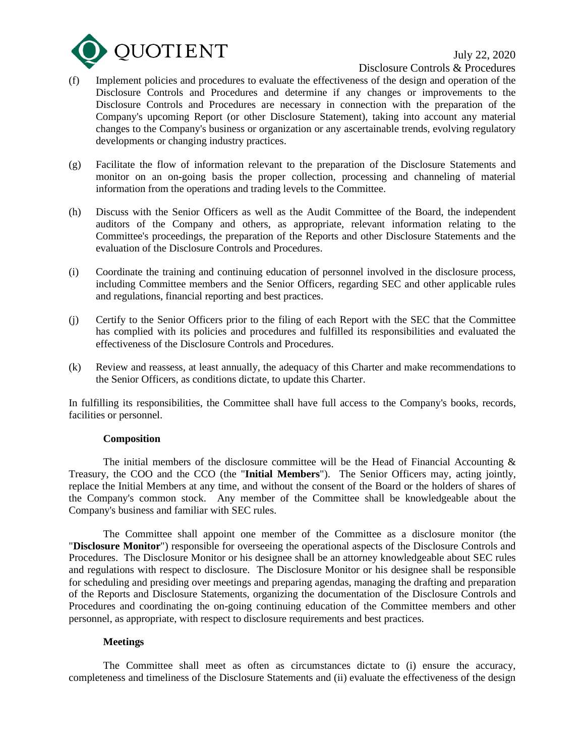

July 22, 2020

Disclosure Controls & Procedures

- (f) Implement policies and procedures to evaluate the effectiveness of the design and operation of the Disclosure Controls and Procedures and determine if any changes or improvements to the Disclosure Controls and Procedures are necessary in connection with the preparation of the Company's upcoming Report (or other Disclosure Statement), taking into account any material changes to the Company's business or organization or any ascertainable trends, evolving regulatory developments or changing industry practices.
- (g) Facilitate the flow of information relevant to the preparation of the Disclosure Statements and monitor on an on-going basis the proper collection, processing and channeling of material information from the operations and trading levels to the Committee.
- (h) Discuss with the Senior Officers as well as the Audit Committee of the Board, the independent auditors of the Company and others, as appropriate, relevant information relating to the Committee's proceedings, the preparation of the Reports and other Disclosure Statements and the evaluation of the Disclosure Controls and Procedures.
- (i) Coordinate the training and continuing education of personnel involved in the disclosure process, including Committee members and the Senior Officers, regarding SEC and other applicable rules and regulations, financial reporting and best practices.
- (j) Certify to the Senior Officers prior to the filing of each Report with the SEC that the Committee has complied with its policies and procedures and fulfilled its responsibilities and evaluated the effectiveness of the Disclosure Controls and Procedures.
- (k) Review and reassess, at least annually, the adequacy of this Charter and make recommendations to the Senior Officers, as conditions dictate, to update this Charter.

In fulfilling its responsibilities, the Committee shall have full access to the Company's books, records, facilities or personnel.

### **Composition**

The initial members of the disclosure committee will be the Head of Financial Accounting  $\&$ Treasury, the COO and the CCO (the "**Initial Members**"). The Senior Officers may, acting jointly, replace the Initial Members at any time, and without the consent of the Board or the holders of shares of the Company's common stock. Any member of the Committee shall be knowledgeable about the Company's business and familiar with SEC rules.

The Committee shall appoint one member of the Committee as a disclosure monitor (the "**Disclosure Monitor**") responsible for overseeing the operational aspects of the Disclosure Controls and Procedures. The Disclosure Monitor or his designee shall be an attorney knowledgeable about SEC rules and regulations with respect to disclosure. The Disclosure Monitor or his designee shall be responsible for scheduling and presiding over meetings and preparing agendas, managing the drafting and preparation of the Reports and Disclosure Statements, organizing the documentation of the Disclosure Controls and Procedures and coordinating the on-going continuing education of the Committee members and other personnel, as appropriate, with respect to disclosure requirements and best practices.

### **Meetings**

The Committee shall meet as often as circumstances dictate to (i) ensure the accuracy, completeness and timeliness of the Disclosure Statements and (ii) evaluate the effectiveness of the design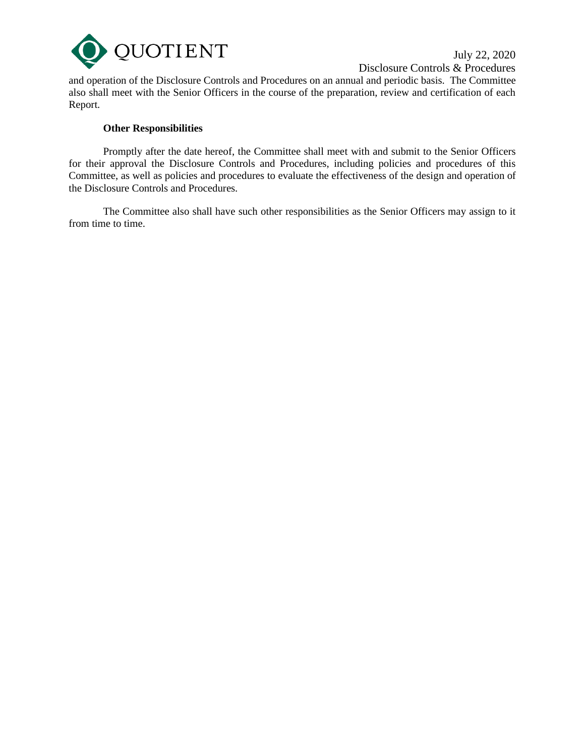

July 22, 2020 Disclosure Controls & Procedures

and operation of the Disclosure Controls and Procedures on an annual and periodic basis. The Committee also shall meet with the Senior Officers in the course of the preparation, review and certification of each Report.

# **Other Responsibilities**

Promptly after the date hereof, the Committee shall meet with and submit to the Senior Officers for their approval the Disclosure Controls and Procedures, including policies and procedures of this Committee, as well as policies and procedures to evaluate the effectiveness of the design and operation of the Disclosure Controls and Procedures.

The Committee also shall have such other responsibilities as the Senior Officers may assign to it from time to time.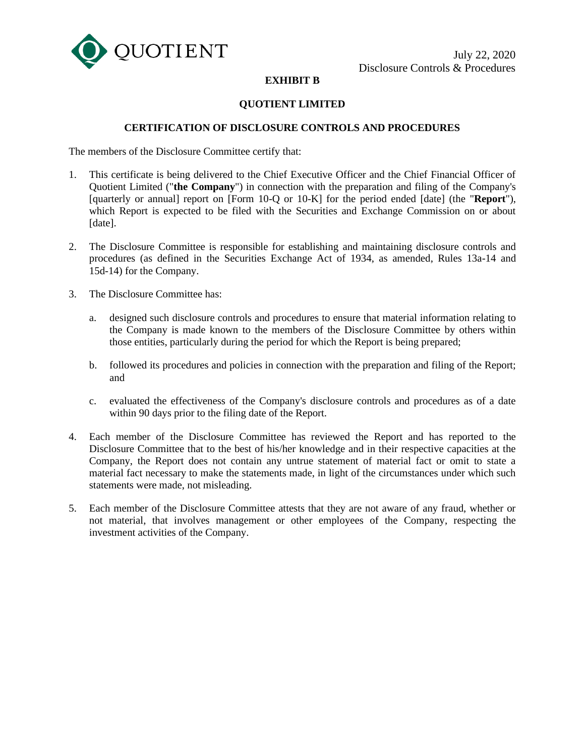

# **EXHIBIT B**

# **QUOTIENT LIMITED**

# **CERTIFICATION OF DISCLOSURE CONTROLS AND PROCEDURES**

The members of the Disclosure Committee certify that:

- 1. This certificate is being delivered to the Chief Executive Officer and the Chief Financial Officer of Quotient Limited ("**the Company**") in connection with the preparation and filing of the Company's [quarterly or annual] report on [Form 10-Q or 10-K] for the period ended [date] (the "**Report**"), which Report is expected to be filed with the Securities and Exchange Commission on or about [date].
- 2. The Disclosure Committee is responsible for establishing and maintaining disclosure controls and procedures (as defined in the Securities Exchange Act of 1934, as amended, Rules 13a-14 and 15d-14) for the Company.
- 3. The Disclosure Committee has:
	- a. designed such disclosure controls and procedures to ensure that material information relating to the Company is made known to the members of the Disclosure Committee by others within those entities, particularly during the period for which the Report is being prepared;
	- b. followed its procedures and policies in connection with the preparation and filing of the Report; and
	- c. evaluated the effectiveness of the Company's disclosure controls and procedures as of a date within 90 days prior to the filing date of the Report.
- 4. Each member of the Disclosure Committee has reviewed the Report and has reported to the Disclosure Committee that to the best of his/her knowledge and in their respective capacities at the Company, the Report does not contain any untrue statement of material fact or omit to state a material fact necessary to make the statements made, in light of the circumstances under which such statements were made, not misleading.
- 5. Each member of the Disclosure Committee attests that they are not aware of any fraud, whether or not material, that involves management or other employees of the Company, respecting the investment activities of the Company.